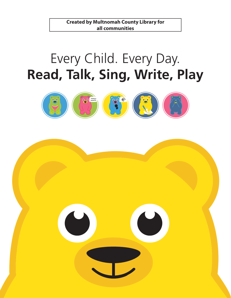# Every Child. Every Day. **Read, Talk, Sing, Write, Play**



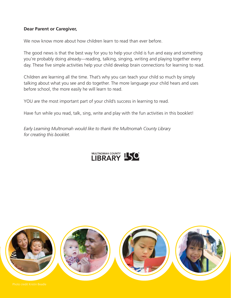### **Dear Parent or Caregiver,**

We now know more about how children learn to read than ever before.

The good news is that the best way for you to help your child is fun and easy and something you're probably doing already—reading, talking, singing, writing and playing together every day. These five simple activities help your child develop brain connections for learning to read.

Children are learning all the time. That's why you can teach your child so much by simply talking about what you see and do together. The more language your child hears and uses before school, the more easily he will learn to read.

YOU are the most important part of your child's success in learning to read.

Have fun while you read, talk, sing, write and play with the fun activities in this booklet!

*Early Learning Multnomah would like to thank the Multnomah County Library for creating this booklet.*



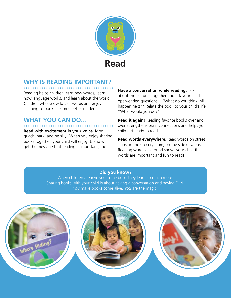

# **Why is reading important?**

Reading helps children learn new words, learn how language works, and learn about the world. Children who know lots of words and enjoy listening to books become better readers.

# **What you can do…**

**Read with excitement in your voice.** Moo, quack, bark, and be silly. When you enjoy sharing books together, your child will enjoy it, and will get the message that reading is important, too.

**Have a conversation while reading.** Talk about the pictures together and ask your child open-ended questions. . "What do you think will happen next?" Relate the book to your child's life. "What would you do?"

**Read it again**! Reading favorite books over and over strengthens brain connections and helps your child get ready to read.

**Read words everywhere.** Read words on street signs, in the grocery store, on the side of a bus. Reading words all around shows your child that words are important and fun to read!

### **Did you know?**

When children are involved in the book they learn so much more. Sharing books with your child is about having a conversation and having FUN. *You* make books come alive. *You* are the magic.

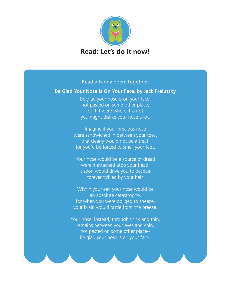

Read a funny poem together.

### **Be Glad Your Nose Is On Your Face, by Jack Prelutsky**

Be glad your nose is on your face, not pasted on some other place, for if it were where it is not, you might dislike your nose a lot.

Imagine if your precious nose were sandwiched in between your toes, that clearly would not be a treat, for you'd be forced to smell your feet.

Your nose would be a source of dread were it attached atop your head, it soon would drive you to despair, forever tickled by your hair.

Within your ear, your nose would be an absolute catastrophe, for when you were obliged to sneeze, your brain would rattle from the breeze.

Your nose, instead, through thick and thin, remains between your eyes and chin, not pasted on some other place- be glad your nose is on your face!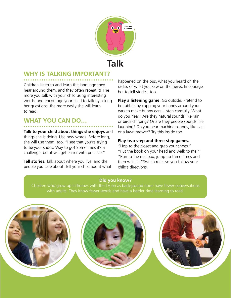

### **Why is TALKING important?**

Children listen to and learn the language they hear around them, and they often repeat it! The more you talk with your child using interesting words, and encourage your child to talk by asking her questions, the more easily she will learn to read.

# **What you can do…**

**Talk to your child about things she enjoys** and things she is doing. Use new words. Before long, she will use them, too. "I see that you're trying to tie your shoes. Way to go! Sometimes it's a challenge, but it will get easier with practice."

**Tell stories.** Talk about where you live, and the people you care about. Tell your child about what happened on the bus, what you heard on the radio, or what you saw on the news. Encourage her to tell stories, too.

**Play a listening game.** Go outside. Pretend to be rabbits by cupping your hands around your ears to make bunny ears. Listen carefully. What do you hear? Are they natural sounds like rain or birds chirping? Or are they people sounds like laughing? Do you hear machine sounds, like cars or a lawn mower? Try this inside too.

### **Play two-step and three-step games.**

"Hop to the closet and grab your shoes." "Put the book on your head and walk to me." "Run to the mailbox, jump up three times and then whistle."Switch roles so you follow your child's directions.

### **Did you know?**

Children who grow up in homes with the TV on as background noise have fewer conversations with adults. They know fewer words and have a harder time learning to read.

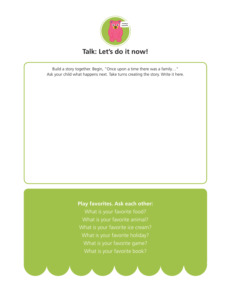

Build a story together. Begin, "Once upon a time there was a family…" Ask your child what happens next. Take turns creating the story. Write it here.

### **Play favorites. Ask each other:**

What is your favorite food? What is your favorite animal? What is your favorite ice cream? What is your favorite holiday? What is your favorite game? What is your favorite book?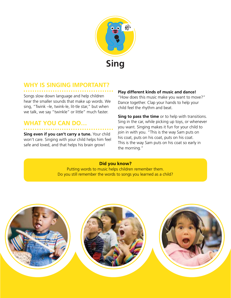

## **Why is SINGING important?**

Songs slow down language and help children hear the smaller sounds that make up words. We sing, "Twink –le, twink-le, lit-tle star," but when we talk, we say "twinkle" or little" much faster.

# **WHAT YOU CAN DO...**

**Sing even if you can't carry a tune.** Your child won't care. Singing with your child helps him feel safe and loved, and that helps his brain grow!

### **Play different kinds of music and dance!**

"How does this music make you want to move?" Dance together. Clap your hands to help your child feel the rhythm and beat.

**Sing to pass the time** or to help with transitions. Sing in the car, while picking up toys, or whenever you want. Singing makes it fun for your child to join in with you. "This is the way Sam puts on his coat, puts on his coat, puts on his coat. This is the way Sam puts on his coat so early in the morning."

### **Did you know?**

Putting words to music helps children remember them. Do you still remember the words to songs you learned as a child?

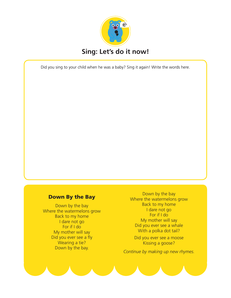

Did you sing to your child when he was a baby? Sing it again! Write the words here.

### Down By the Bay

Down by the bay Where the watermelons grow Back to my home I dare not go For if I do My mother will say Did you ever see a fly Wearing a tie? Down by the bay.

Down by the bay Where the watermelons grow Back to my home I dare not go For if I do My mother will say Did you ever see a whale With a polka dot tail?

Did you ever see a moose Kissing a goose?

*Continue by making up new rhymes.*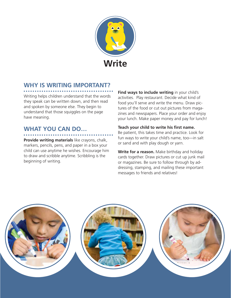

# **WHY IS WRITING IMPORTANT?**

Writing helps children understand that the words they speak can be written down, and then read and spoken by someone else. They begin to understand that those squiggles on the page have meaning.

# **WHAT YOU CAN DO...**

**Provide writing materials** like crayons, chalk, markers, pencils, pens, and paper in a box your child can use anytime he wishes. Encourage him to draw and scribble anytime. Scribbling is the beginning of writing.

**Find ways to include writing** in your child's activities. Play restaurant. Decide what kind of food you'll serve and write the menu. Draw pictures of the food or cut out pictures from magazines and newspapers. Place your order and enjoy your lunch. Make paper money and pay for lunch!

**Teach your child to write his first name.** Be patient, this takes time and practice. Look for fun ways to write your child's name, too—in salt or sand and with play dough or yarn.

**Write for a reason.** Make birthday and holiday cards together. Draw pictures or cut up junk mail or magazines. Be sure to follow through by addressing, stamping, and mailing these important messages to friends and relatives!

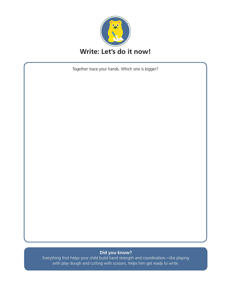

Together trace your hands. Which one is bigger?

#### **Did you know?**

Everything that helps your child build hand strength and coordination—like playing with play dough and cutting with scissors, helps him get ready to write.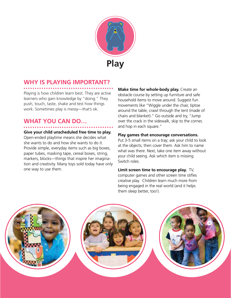

# **WHY IS PLAYING IMPORTANT?**

Playing is how children learn best. They are active learners who gain knowledge by "doing." They push, touch, taste, shake and test how things work. Sometimes play is messy—that's ok.

# **What you can do…**

### **Give your child unscheduled free time to play.**

Open-ended playtime means she decides what she wants to do and how she wants to do it. Provide simple, everyday items such as big boxes, paper tubes, masking tape, cereal boxes, string, markers, blocks—things that inspire her imagination and creativity. Many toys sold today have only one way to use them.

**Make time for whole-body play.** Create an obstacle course by setting up furniture and safe household items to move around. Suggest fun movements like "Wiggle under the chair, tiptoe around the table, crawl through the tent (made of chairs and blanket)." Go outside and try, "Jump over the crack in the sidewalk, skip to the corner, and hop in each square."

### **Play games that encourage conversations.**

Put 3-5 small items on a tray; ask your child to look at the objects; then cover them. Ask him to name what was there. Next, take one item away without your child seeing. Ask which item is missing. Switch roles.

**Limit screen time to encourage play.** TV, computer games and other screen time stifles creative play. Children learn much more from being engaged in the real world (and it helps them sleep better, too!).